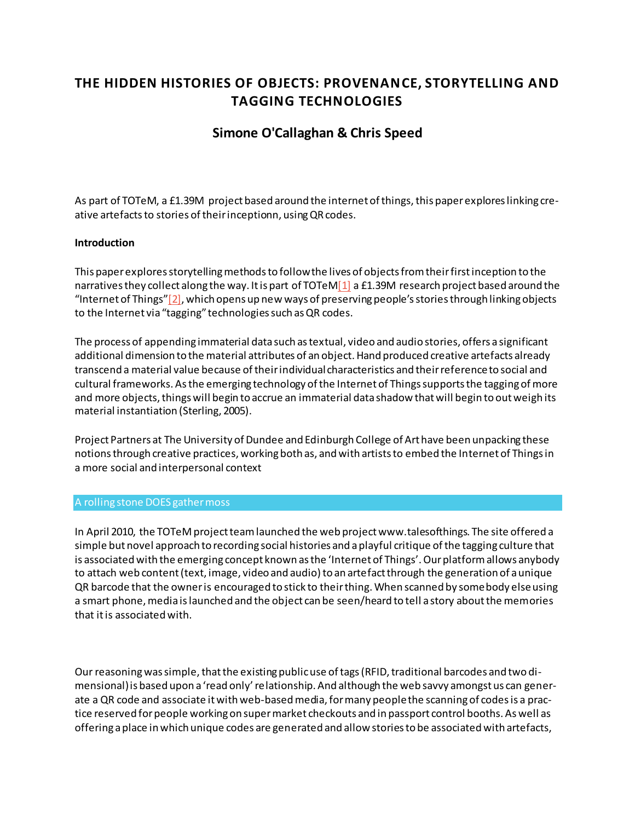# **THE HIDDEN HISTORIES OF OBJECTS: PROVENANCE, STORYTELLING AND TAGGING TECHNOLOGIES**

## **[Simone O'Callaghan](http://isea2011.sabanciuniv.edu/-330.html) & [Chris Speed](http://isea2011.sabanciuniv.edu/-331.html)**

As part of TOTeM, a £1.39M project based around the internet of things, this paper explores linking creative artefacts to stories of their inceptionn, using QR codes.

### **Introduction**

This paper explores storytelling methodsto follow the lives of objects from their first inception to the narratives they collect along the way. It is part of TOTe[M\[1\]](http://isea2011.sabanciuniv.edu/paper/hidden-histories-objects-provenance-storytelling-and-tagging-technologies.html#_ftn1) a £1.39M research project based around the "Internet of Things" $[2]$ , which opens up new ways of preserving people's stories through linking objects to the Internet via "tagging" technologies such as QR codes.

The process of appending immaterial data such as textual, video and audio stories, offers a significant additional dimension to the material attributes of an object. Hand produced creative artefacts already transcend a material value because of their individual characteristics and their reference to social and cultural frameworks. Asthe emerging technology of the Internet of Things supports the tagging of more and more objects, things will begin to accrue an immaterial data shadow that will begin to out weigh its material instantiation (Sterling, 2005).

Project Partners at The University of Dundee and Edinburgh College of Art have been unpacking these notions through creative practices, working both as, and with artists to embed the Internet of Things in a more social and interpersonal context

#### A rolling stone DOES gather moss

In April 2010, the TOTeM project team launched the web project www.talesofthings. The site offered a simple but novel approach to recording social histories and a playful critique of the tagging culture that is associated with the emerging concept known as the 'Internet of Things'. Our platform allows anybody to attach web content (text, image, video and audio) to an artefact through the generation of a unique QR barcode that the owner is encouraged to stick to their thing. When scanned by somebody else using a smart phone, media is launched and the object can be seen/heard to tell a story about the memories that it is associated with.

Our reasoning was simple, that the existing public use of tags (RFID, traditional barcodes and two dimensional) is based upon a 'read only' relationship. And although the web savvy amongst us can generate a QR code and associate it with web-based media, for many people the scanning of codes is a practice reserved for people working on super market checkouts and in passport control booths. As well as offering a place in which unique codes are generated and allow stories to be associated with artefacts,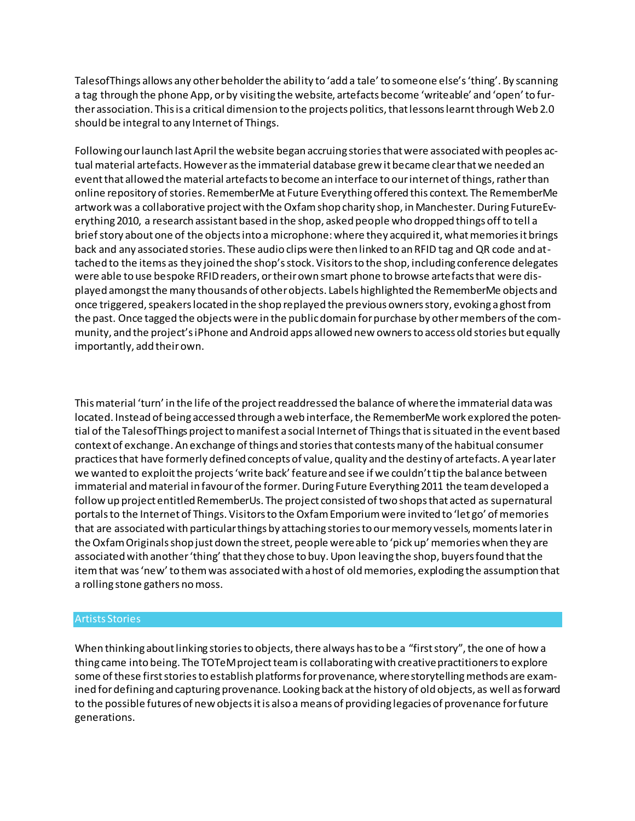TalesofThings allows any other beholder the ability to 'add a tale' to someone else's 'thing'. By scanning a tag through the phone App, or by visiting the website, artefacts become 'writeable' and 'open' to further association. This is a critical dimension to the projects politics, that lessons learnt through Web 2.0 should be integral to any Internet of Things.

Following our launch last April the website began accruing stories that were associated with peoples actual material artefacts. However as the immaterial database grew it became clear that we needed an event that allowed the material artefacts to become an interface to our internet of things, rather than online repository of stories. RememberMe at Future Everything offered this context. The RememberMe artwork was a collaborative project with the Oxfam shop charity shop, in Manchester. During FutureEverything 2010, a research assistant based in the shop, asked people who dropped things off to tell a brief story about one of the objects into a microphone: where they acquired it, what memories it brings back and any associated stories. These audio clips were then linked to an RFID tag and QR code and attached to the items as they joined the shop's stock. Visitors to the shop, including conference delegates were able to use bespoke RFID readers, or their own smart phone to browse artefacts that were displayed amongst the many thousands of other objects. Labels highlighted the RememberMe objects and once triggered, speakers located in the shop replayed the previous owners story, evoking a ghost from the past. Once tagged the objects were in the public domain for purchase by other members of the community, and the project's iPhone and Android apps allowed new owners to access old stories but equally importantly, add their own.

This material 'turn' in the life of the project readdressed the balance of where the immaterial data was located. Instead of being accessed through a web interface, the RememberMe work explored the potential of the TalesofThings project to manifest a social Internet of Things that is situated in the event based context of exchange. An exchange of things and stories that contests many of the habitual consumer practices that have formerly defined concepts of value, quality and the destiny of artefacts. A year later we wanted to exploit the projects 'write back' feature and see if we couldn't tip the balance between immaterial and material in favour of the former. During Future Everything 2011 the team developed a follow up project entitled RememberUs. The project consisted of two shops that acted as supernatural portals to the Internet of Things. Visitors to the Oxfam Emporium were invited to 'let go' of memories that are associated with particular things by attaching stories to our memory vessels, moments later in the Oxfam Originals shop just down the street, people were able to 'pick up' memories when they are associated with another 'thing' that they chose to buy. Upon leaving the shop, buyers found that the item that was 'new' to them was associated with a host of old memories, exploding the assumption that a rolling stone gathers no moss.

#### Artists Stories

When thinking about linking stories to objects, there always has to be a "first story", the one of how a thing came into being. The TOTeM project team is collaborating with creative practitioners to explore some of these first stories to establish platforms for provenance, where storytelling methods are examined for defining and capturing provenance. Looking back at the history of old objects, as well as forward to the possible futures of new objects it is also a means of providing legacies of provenance for future generations.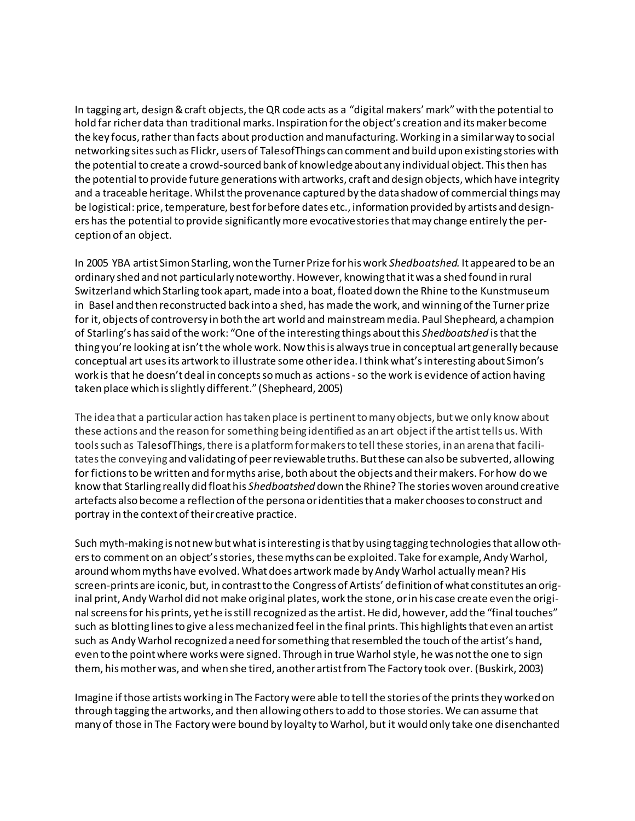In tagging art, design & craft objects, the QR code acts as a "digital makers' mark" with the potential to hold far richer data than traditional marks. Inspiration for the object's creation and its maker become the key focus, rather than facts about production and manufacturing. Working in a similar way to social networking sites such as Flickr, users of TalesofThings can comment and build upon existing stories with the potential to create a crowd-sourced bank of knowledge about any individual object. This then has the potential to provide future generations with artworks, craft and design objects, which have integrity and a traceable heritage. Whilst the provenance captured by the data shadow of commercial things may be logistical: price, temperature, best for before dates etc., information provided by artists and designers has the potential to provide significantly more evocative stories that may change entirely the perception of an object.

In 2005 YBA artist Simon Starling, won the Turner Prize for his work *Shedboatshed.* It appeared to be an ordinary shed and not particularly noteworthy. However, knowing that it was a shed found in rural Switzerland which Starling took apart, made into a boat, floated down the Rhine to the Kunstmuseum in Basel and then reconstructed back into a shed, has made the work, and winning of the Turner prize for it, objects of controversy in both the art world and mainstream media. Paul Shepheard, a champion of Starling's has said of the work: "One of the interesting things about this *Shedboatshed* is that the thing you're looking at isn't the whole work. Now this is always true in conceptual art generally because conceptual art uses its artwork to illustrate some other idea. I think what's interesting about Simon's work is that he doesn't deal in concepts so much as actions -so the work is evidence of action having taken place which is slightly different." (Shepheard, 2005)

The idea that a particular action has taken place is pertinent to many objects, but we only know about these actions and the reason for something being identified as an art object if the artist tells us. With tools such as TalesofThings, there is a platform for makers to tell these stories, in an arena that facilitates the conveying and validating of peer reviewable truths. But these can also be subverted, allowing for fictions to be written and for myths arise, both about the objects and their makers. For how do we know that Starling really did float his *Shedboatshed* down the Rhine? The stories woven around creative artefacts also become a reflection of the persona or identities that a maker chooses to construct and portray in the context of their creative practice.

Such myth-making is not new but what is interesting is that by using tagging technologies that allow others to comment on an object's stories, these myths can be exploited. Take for example, Andy Warhol, around whom myths have evolved. What does artwork made by Andy Warhol actually mean? His screen-prints are iconic, but, in contrast to the Congress of Artists' definition of what constitutes an original print, Andy Warhol did not make original plates, work the stone, or in his case create even the original screens for his prints, yet he is still recognized as the artist. He did, however, add the "final touches" such as blotting lines to give a less mechanized feel in the final prints. This highlights that even an artist such as Andy Warhol recognized a need for something that resembled the touch of the artist's hand, even to the point where works were signed. Through in true Warhol style, he was not the one to sign them, his mother was, and when she tired, another artist from The Factory took over. (Buskirk, 2003)

Imagine if those artists working in The Factory were able to tell the stories of the prints they worked on through tagging the artworks, and then allowing others to add to those stories. We can assume that many of those in The Factory were bound by loyalty to Warhol, but it would only take one disenchanted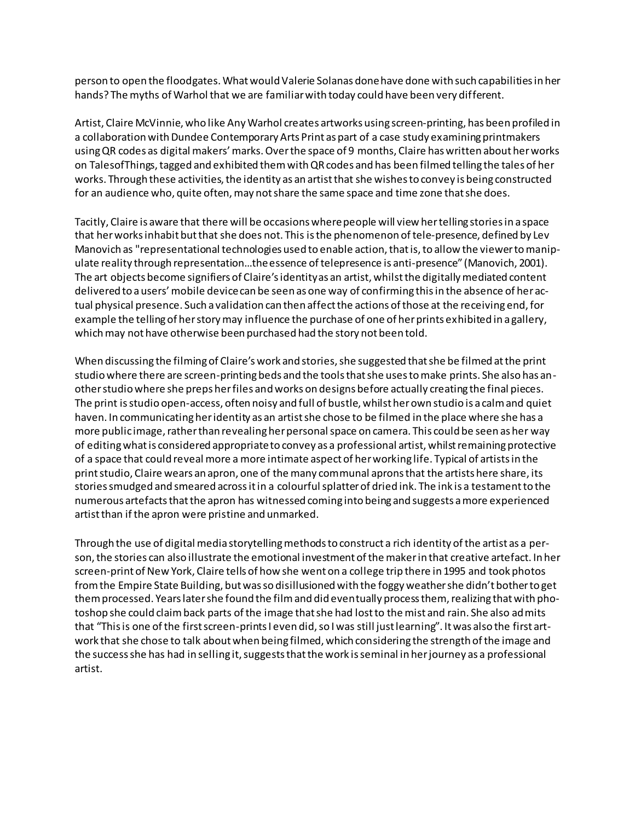person to open the floodgates. What would Valerie Solanas done have done with such capabilities in her hands? The myths of Warhol that we are familiar with today could have been very different.

Artist, Claire McVinnie, who like Any Warhol creates artworks using screen-printing, has been profiled in a collaboration with Dundee Contemporary Arts Print as part of a case study examining printmakers using QR codes as digital makers' marks. Over the space of 9 months, Claire has written about her works on TalesofThings, tagged and exhibited them with QR codes and has been filmed telling the tales of her works. Through these activities, the identity as an artist that she wishes to convey is being constructed for an audience who, quite often, may not share the same space and time zone that she does.

Tacitly, Claire is aware that there will be occasions where people will view her telling stories in a space that her works inhabit but that she does not. This is the phenomenon of tele-presence, defined by Lev Manovich as "representational technologies used to enable action, that is, to allow the viewer to manipulate reality through representation…the essence of telepresence is anti-presence" (Manovich, 2001). The art objects become signifiers of Claire's identity as an artist, whilst the digitally mediated content delivered to a users' mobile device can be seen as one way of confirming this in the absence of her actual physical presence. Such a validation can then affect the actions of those at the receiving end, for example the telling of her story may influence the purchase of one of her prints exhibited in a gallery, which may not have otherwise been purchased had the story not been told.

When discussing the filming of Claire's work and stories, she suggested that she be filmed at the print studio where there are screen-printing beds and the tools that she uses to make prints. She also has another studio where she preps her files and works on designs before actually creating the final pieces. The print is studio open-access, often noisy and full of bustle, whilst her own studio is a calm and quiet haven. In communicating her identity as an artist she chose to be filmed in the place where she has a more public image, rather than revealing her personal space on camera. This could be seen as her way of editing what is considered appropriate to convey as a professional artist, whilst remaining protective of a space that could reveal more a more intimate aspect of her working life. Typical of artists in the print studio, Claire wears an apron, one of the many communal aprons that the artists here share, its stories smudged and smeared across it in a colourful splatter of dried ink. The ink is a testament to the numerous artefacts that the apron has witnessed coming into being and suggests a more experienced artist than if the apron were pristine and unmarked.

Through the use of digital media storytelling methods to construct a rich identity of the artist as a person, the stories can also illustrate the emotional investment of the maker in that creative artefact. In her screen-print of New York, Claire tells of how she went on a college trip there in 1995 and took photos from the Empire State Building, but was so disillusioned with the foggy weather she didn't bother to get them processed. Years later she found the film and did eventually process them, realizing that with photoshop she could claim back parts of the image that she had lost to the mist and rain. She also admits that "This is one of the first screen-prints I even did, so I was still just learning". It was also the first artwork that she chose to talk about when being filmed, which considering the strength of the image and the success she has had in selling it, suggests that the work is seminal in her journey as a professional artist.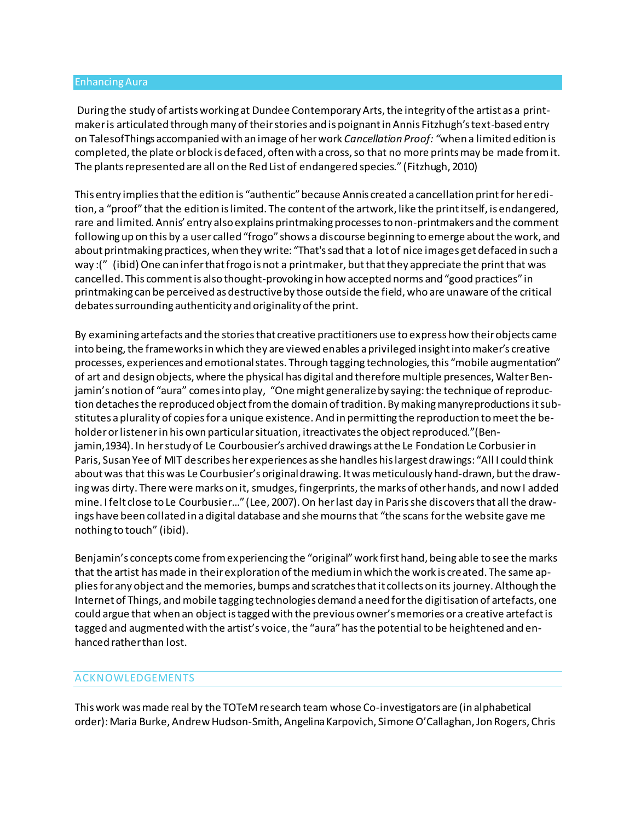#### Enhancing Aura

During the study of artists working at Dundee Contemporary Arts, the integrity of the artist as a printmaker is articulated through many of their stories and is poignant in Annis Fitzhugh's text-based entry on TalesofThings accompanied with an image of her work *Cancellation Proof: "*when a limited edition is completed, the plate or block is defaced, often with a cross, so that no more prints may be made from it. The plants represented are all on the Red List of endangered species." (Fitzhugh, 2010)

This entry implies that the edition is "authentic" because Annis created a cancellation print for her edition, a "proof" that the edition is limited. The content of the artwork, like the print itself, is endangered, rare and limited. Annis' entry also explains printmaking processes to non-printmakers and the comment following up on this by a user called "frogo" shows a discourse beginning to emerge about the work, and about printmaking practices, when they write: "That's sad that a lot of nice images get defaced in such a way :(" (ibid) One can infer that frogo is not a printmaker, but that they appreciate the print that was cancelled. This comment is also thought-provoking in how accepted norms and "good practices" in printmaking can be perceived as destructive by those outside the field, who are unaware of the critical debates surrounding authenticity and originality of the print.

By examining artefacts and the stories that creative practitioners use to express how their objects came into being, the frameworks in which they are viewed enables a privileged insight into maker's creative processes, experiences and emotional states. Through tagging technologies, this "mobile augmentation" of art and design objects, where the physical has digital and therefore multiple presences, Walter Benjamin's notion of "aura" comes into play, "One might generalizeby saying:the technique ofreproduction detaches the reproduced object from the domain of tradition. By making manyreproductions it substitutes aplurality of copiesfor a unique existence. And in permitting the reproduction tomeetthe beholder or listener in his own particular situation, itreactivates the object reproduced."(Benjamin,1934). In her study of Le Courbousier's archived drawings at the Le Fondation Le Corbusier in Paris, Susan Yee of MIT describes her experiences as she handles his largest drawings: "All I could think about was that this was Le Courbusier's original drawing. It was meticulously hand-drawn, but the drawing was dirty. There were marks on it, smudges, fingerprints, the marks of other hands, and now I added mine. I felt close to Le Courbusier…" (Lee, 2007). On her last day in Paris she discovers that all the drawings have been collated in a digital database and she mourns that "the scans for the website gave me nothing to touch" (ibid).

Benjamin's concepts come from experiencing the "original" work first hand, being able to see the marks that the artist has made in their exploration of the medium in which the work is created. The same applies for any object and the memories, bumps and scratches that it collects on its journey. Although the Internet of Things, and mobile tagging technologies demand a need for the digitisation of artefacts, one could argue that when an object is tagged with the previous owner's memories or a creative artefact is tagged and augmented with the artist's voice, the "aura" has the potential to be heightened and enhanced rather than lost.

#### ACKNOWLEDGEMENTS

This work was made real by the TOTeM research team whose Co-investigators are (in alphabetical order): Maria Burke, Andrew Hudson-Smith, Angelina Karpovich, Simone O'Callaghan, Jon Rogers, Chris